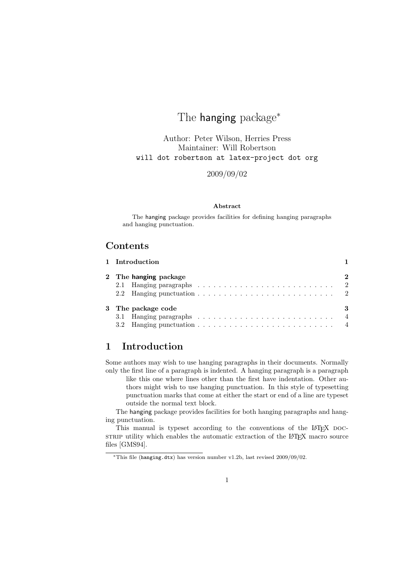# The hanging package<sup>\*</sup>

Author: Peter Wilson, Herries Press Maintainer: Will Robertson will dot robertson at latex-project dot org

2009/09/02

#### Abstract

The hanging package provides facilities for defining hanging paragraphs and hanging punctuation.

### Contents

|  | 1 Introduction        |   |
|--|-----------------------|---|
|  | 2 The hanging package | 2 |
|  |                       |   |
|  |                       |   |
|  | 3 The package code    | 3 |
|  |                       |   |
|  |                       |   |

### 1 Introduction

Some authors may wish to use hanging paragraphs in their documents. Normally only the first line of a paragraph is indented. A hanging paragraph is a paragraph

like this one where lines other than the first have indentation. Other authors might wish to use hanging punctuation. In this style of typesetting punctuation marks that come at either the start or end of a line are typeset outside the normal text block.

The hanging package provides facilities for both hanging paragraphs and hanging punctuation.

This manual is typeset according to the conventions of the LAT<sub>EX</sub> DOCstrate utility which enables the automatic extraction of the LAT<sub>EX</sub> macro source files [GMS94].

<sup>∗</sup>This file (hanging.dtx) has version number v1.2b, last revised 2009/09/02.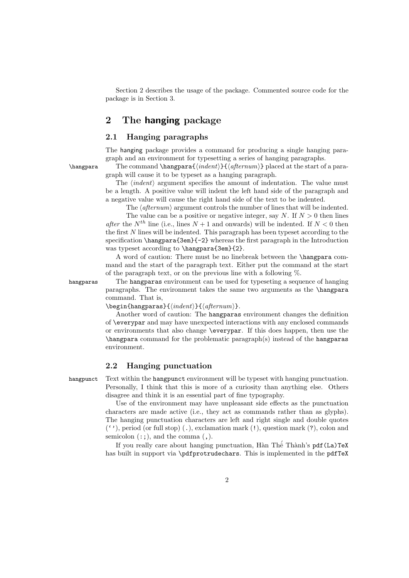Section 2 describes the usage of the package. Commented source code for the package is in Section 3.

### 2 The hanging package

### 2.1 Hanging paragraphs

The hanging package provides a command for producing a single hanging paragraph and an environment for typesetting a series of hanging paragraphs.

 $\hbar$  The command  $\hbar$   $\{indent\}$   $\{afternum\}$  placed at the start of a paragraph will cause it to be typeset as a hanging paragraph.

> The  $\langle \text{indent in} \rangle$  argument specifies the amount of indentation. The value must be a length. A positive value will indent the left hand side of the paragraph and a negative value will cause the right hand side of the text to be indented.

The  $\langle$  afternum $\rangle$  argument controls the number of lines that will be indented.

The value can be a positive or negative integer, say N. If  $N > 0$  then lines after the  $N^{th}$  line (i.e., lines  $N+1$  and onwards) will be indented. If  $N < 0$  then the first N lines will be indented. This paragraph has been typeset according to the specification \hangpara{3em}{-2} whereas the first paragraph in the Introduction was typeset according to \hangpara{3em}{2}.

A word of caution: There must be no linebreak between the \hangpara command and the start of the paragraph text. Either put the command at the start of the paragraph text, or on the previous line with a following %.

hangparas The hangparas environment can be used for typeseting a sequence of hanging paragraphs. The environment takes the same two arguments as the \hangpara command. That is,

 $\begin{align} \begin{cases} {\langle \mathit{indent} \rangle} {\langle \mathit{alternum} \rangle}. \end{cases}$ 

Another word of caution: The hangparas environment changes the definition of \everypar and may have unexpected interactions with any enclosed commands or environments that also change \everypar. If this does happen, then use the \hangpara command for the problematic paragraph(s) instead of the hangparas environment.

#### 2.2 Hanging punctuation

hangpunct Text within the hangpunct environment will be typeset with hanging punctuation. Personally, I think that this is more of a curiosity than anything else. Others disagree and think it is an essential part of fine typography.

> Use of the environment may have unpleasant side effects as the punctuation characters are made active (i.e., they act as commands rather than as glyphs). The hanging punctuation characters are left and right single and double quotes  $(2)$ , period (or full stop) (.), exclamation mark  $(2)$ , question mark  $(2)$ , colon and semicolon  $(:;),$  and the comma  $($ , $).$

> If you really care about hanging punctuation, Hàn Thế Thành's  $pdf(La)TeX$ has built in support via \pdfprotrudechars. This is implemented in the pdfTeX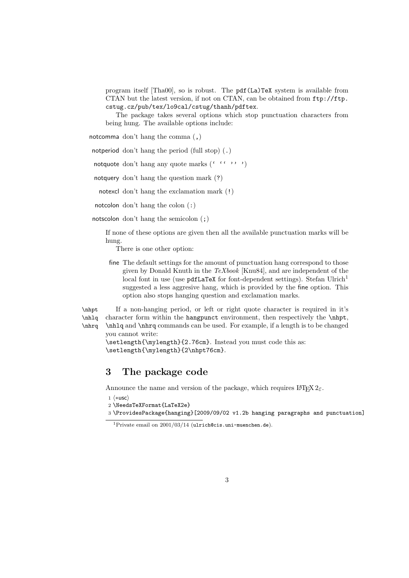program itself [Tha00], so is robust. The pdf(La)TeX system is available from CTAN but the latest version, if not on CTAN, can be obtained from ftp://ftp. cstug.cz/pub/tex/lo9cal/cstug/thanh/pdftex.

The package takes several options which stop punctuation characters from being hung. The available options include:

notcomma don't hang the comma (,)

notperiod don't hang the period (full stop) (.)

notquote don't hang any quote marks  $($ <sup> $\cdots$ </sup>  $)$ 

notquery don't hang the question mark (?)

notexcl don't hang the exclamation mark (!)

notcolon don't hang the colon (:)

notscolon don't hang the semicolon (;)

If none of these options are given then all the available punctuation marks will be hung.

There is one other option:

fine The default settings for the amount of punctuation hang correspond to those given by Donald Knuth in the TeXbook [Knu84], and are independent of the local font in use (use  $pdfL$ aTeX for font-dependent settings). Stefan Ulrich<sup>1</sup> suggested a less aggresive hang, which is provided by the fine option. This option also stops hanging question and exclamation marks.

\nhlq \nhrq

\nhpt If a non-hanging period, or left or right quote character is required in it's character form within the hangpunct environment, then respectively the  $\nhpt$ , \nhlq and \nhrq commands can be used. For example, if a length is to be changed you cannot write:

\setlength{\mylength}{2.76cm}. Instead you must code this as: \setlength{\mylength}{2\nhpt76cm}.

### 3 The package code

Announce the name and version of the package, which requires  $\text{LATEX } 2_{\epsilon}$ .

1  $\langle$ \*usc $\rangle$ 

2 \NeedsTeXFormat{LaTeX2e}

3 \ProvidesPackage{hanging}[2009/09/02 v1.2b hanging paragraphs and punctuation]

 $\frac{1}{1}$ Private email on 2001/03/14 (ulrich@cis.uni-muenchen.de).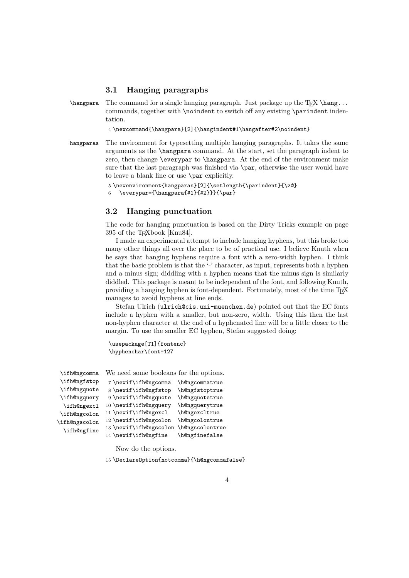#### 3.1 Hanging paragraphs

 $\hbar$  The command for a single hanging paragraph. Just package up the TEX  $\hbar$ commands, together with \noindent to switch off any existing \parindent indentation.

4 \newcommand{\hangpara}[2]{\hangindent#1\hangafter#2\noindent}

hangparas The environment for typesetting multiple hanging paragraphs. It takes the same arguments as the \hangpara command. At the start, set the paragraph indent to zero, then change \everypar to \hangpara. At the end of the environment make sure that the last paragraph was finished via  $\gamma$ , otherwise the user would have to leave a blank line or use \par explicitly.

5 \newenvironment{hangparas}[2]{\setlength{\parindent}{\z@}

6 \everypar={\hangpara{#1}{#2}}}{\par}

#### 3.2 Hanging punctuation

The code for hanging punctuation is based on the Dirty Tricks example on page 395 of the TEXbook [Knu84].

I made an experimental attempt to include hanging hyphens, but this broke too many other things all over the place to be of practical use. I believe Knuth when he says that hanging hyphens require a font with a zero-width hyphen. I think that the basic problem is that the '-' character, as input, represents both a hyphen and a minus sign; diddling with a hyphen means that the minus sign is similarly diddled. This package is meant to be independent of the font, and following Knuth, providing a hanging hyphen is font-dependent. Fortunately, most of the time TEX manages to avoid hyphens at line ends.

Stefan Ulrich (ulrich@cis.uni-muenchen.de) pointed out that the EC fonts include a hyphen with a smaller, but non-zero, width. Using this then the last non-hyphen character at the end of a hyphenated line will be a little closer to the margin. To use the smaller EC hyphen, Stefan suggested doing:

```
\usepackage[T1]{fontenc}
\hyphenchar\font=127
```

| \ifh@ngcomma  | We need some booleans for the options. |                 |
|---------------|----------------------------------------|-----------------|
| \ifh@ngfstop  | 7 \newif\ifh@ngcomma                   | \h@ngcommatrue  |
| \ifh@ngquote  | 8 \newif\ifh@ngfstop                   | \h@ngfstoptrue  |
| \ifh@ngquery  | 9 \newif\ifh@ngquote                   | \h@ngquotetrue  |
| \ifh@ngexcl   | 10 \newif\ifh@ngquery                  | \h@ngquerytrue  |
| \ifh@ngcolon  | 11 \newif\ifh@ngexcl                   | \h@ngexcltrue   |
| \ifh@ngscolon | 12 \newif\ifh@ngcolon                  | \h@ngcolontrue  |
| \ifh@ngfine   | 13 \newif\ifh@ngscolon                 | \h@ngscolontrue |
|               | 14 \newif\ifh@ngfine                   | \h@ngfinefalse  |

Now do the options.

15 \DeclareOption{notcomma}{\h@ngcommafalse}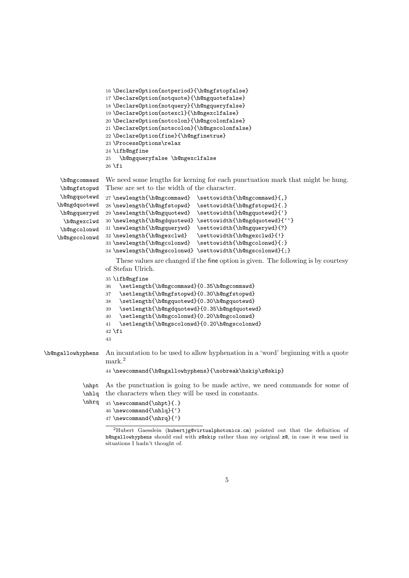```
16 \DeclareOption{notperiod}{\h@ngfstopfalse}
               17 \DeclareOption{notquote}{\h@ngquotefalse}
               18 \DeclareOption{notquery}{\h@ngqueryfalse}
               19 \DeclareOption{notexcl}{\h@ngexclfalse}
               20 \DeclareOption{notcolon}{\h@ngcolonfalse}
               21 \DeclareOption{notscolon}{\h@ngscolonfalse}
               22 \DeclareOption{fine}{\h@ngfinetrue}
               23 \ProcessOptions\relax
               24 \ifh@ngfine
               25 \h@ngqueryfalse \h@ngexclfalse
               26 \fi
\h@ngcommawd
\h@ngfstopwd
\h@ngquotewd
\h@ngdquotewd
\h@ngquerywd
  \h@ngexclwd
30 \newlength{\h@ngdquotewd} \settowidth{\h@ngdquotewd}{''}
\h@ngcolonwd
\h@ngscolonwd
               We need some lengths for kerning for each punctuation mark that might be hung.
               These are set to the width of the character.
               27 \newlength{\h@ngcommawd} \settowidth{\h@ngcommawd}{,}
               28 \newlength{\h@ngfstopwd} \settowidth{\h@ngfstopwd}{.}
               29 \newlength{\h@ngquotewd} \settowidth{\h@ngquotewd}{'}
              31 \newlength{\h@ngquerywd} \settowidth{\h@ngquerywd}{?}
               32\newlength{\h@ngexclwd} \settowidth{\h@ngexclwd}{!}
               33 \newlength{\h@ngcolonwd} \settowidth{\h@ngcolonwd}{:}
               34 \newlength{\h@ngscolonwd} \settowidth{\h@ngscolonwd}{;}
                  These values are changed if the fine option is given. The following is by courtesy
               of Stefan Ulrich.
               35 \ifh@ngfine
```

```
36 \setlength{\h@ngcommawd}{0.35\h@ngcommawd}
                   37 \setlength{\h@ngfstopwd}{0.30\h@ngfstopwd}
                   38 \setlength{\h@ngquotewd}{0.30\h@ngquotewd}
                   39 \setlength{\h@ngdquotewd}{0.35\h@ngdquotewd}
                   40 \setlength{\h@ngcolonwd}{0.20\h@ngcolonwd}
                   41 \setlength{\h@ngscolonwd}{0.20\h@ngscolonwd}
                   42 \fi
                   43
\h@ngallowhyphens An incantation to be used to allow hyphenation in a 'word' beginning with a quote
                   mark.<sup>2</sup>
                   44 \newcommand{\h@ngallowhyphens}{\nobreak\hskip\z@skip}
            \nhpt
As the punctuation is going to be made active, we need commands for some of
            \nhlq
the characters when they will be used in constants.
            \nhrq 45 \newcommand{\nhpt}{.}
```

```
46 \newcommand{\nhlq}{'}
47 \newcommand{\nhrq}{'}
```
Hubert Gaesslein (hubertjg@virtualphotonics.cm) pointed out that the definition of h@ngallowhyphens should end with z@skip rather than my original z@, in case it was used in situations I hadn't thought of.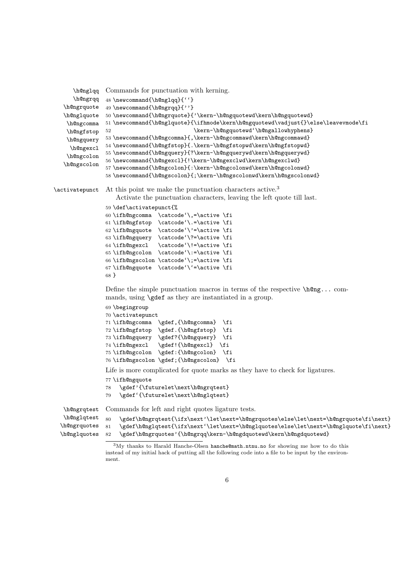```
\h@nglqq
Commands for punctuation with kerning.
      \h@ngrqq 48 \newcommand{\h@nglqq}{''}
   \h@ngrquote
   \h@nglquote
    \h@ngcomma
    \h@ngfstop
    \h@ngquery
     \h@ngexcl
    \h@ngcolon
   \h@ngscolon
                49 \newcommand{\h@ngrqq}{''}
                50 \newcommand{\h@ngrquote}{'\kern-\h@ngquotewd\kern\h@ngquotewd}
                51 \newcommand{\h@nglquote}{\ifhmode\kern\h@ngquotewd\vadjust{}\else\leavevmode\fi
                                            \kern-\h@ngquotewd'\h@ngallowhyphens}
                53 \newcommand{\h@ngcomma}{,\kern-\h@ngcommawd\kern\h@ngcommawd}
                54 \newcommand{\h@ngfstop}{.\kern-\h@ngfstopwd\kern\h@ngfstopwd}
                55 \newcommand{\h@ngquery}{?\kern-\h@ngquerywd\kern\h@ngquerywd}
                56 \newcommand{\h@ngexcl}{!\kern-\h@ngexclwd\kern\h@ngexclwd}
                57 \newcommand{\h@ngcolon}{:\kern-\h@ngcolonwd\kern\h@ngcolonwd}
                58 \newcommand{\h@ngscolon}{;\kern-\h@ngscolonwd\kern\h@ngscolonwd}
\activatepunct At this point we make the punctuation characters active.<sup>3</sup>
                   Activate the punctuation characters, leaving the left quote till last.
                59 \def\activatepunct{%
                60 \ifh@ngcomma \catcode'\,=\active \fi
                61 \ifh@ngfstop \catcode'\.=\active \fi
                62 \ifh@ngquote \catcode'\'=\active \fi
                63 \ifh@ngquery \catcode'\?=\active \fi
                64 \ifh@ngexcl \catcode'\!=\active \fi
                65 \ifh@ngcolon \catcode'\:=\active \fi
                66 \ifh@ngscolon \catcode'\;=\active \fi
                67 \ifh@ngquote \catcode'\'=\active \fi
                68 }
```
Define the simple punctuation macros in terms of the respective  $\hbar \mathbb{Q}_1$ ... commands, using \gdef as they are instantiated in a group.

```
69 \begingroup
70 \activatepunct
71 \ifh@ngcomma \gdef,{\h@ngcomma} \fi
72 \ifh@ngfstop \gdef.{\h@ngfstop} \fi
73 \ifh@ngquery \gdef?{\h@ngquery} \fi
74 \ifh@ngexcl \gdef!{\h@ngexcl} \fi
75 \ifh@ngcolon \gdef:{\h@ngcolon} \fi
76 \ifh@ngscolon \gdef;{\h@ngscolon} \fi
```
Life is more complicated for quote marks as they have to check for ligatures.

```
77 \ifh@ngquote
```

```
78 \gdef'{\futurelet\next\h@ngrqtest}
```

```
79 \gdef'{\futurelet\next\h@nglqtest}
```
\h@ngrqtest \h@nglqtest \h@ngrquotes \h@nglquotes Commands for left and right quotes ligature tests.

```
80 \gdef\h@ngrqtest{\ifx\next'\let\next=\h@ngrquotes\else\let\next=\h@ngrquote\fi\next}
81 \gdef\h@nglqtest{\ifx\next'\let\next=\h@nglquotes\else\let\next=\h@nglquote\fi\next}
82 \gdef\h@ngrquotes'{\h@ngrqq\kern-\h@ngdquotewd\kern\h@ngdquotewd}
```
 $3\text{My thanks to Harald Hanche-Olsen hanche@math.ntnu.no}$  for showing me how to do this instead of my initial hack of putting all the following code into a file to be input by the environment.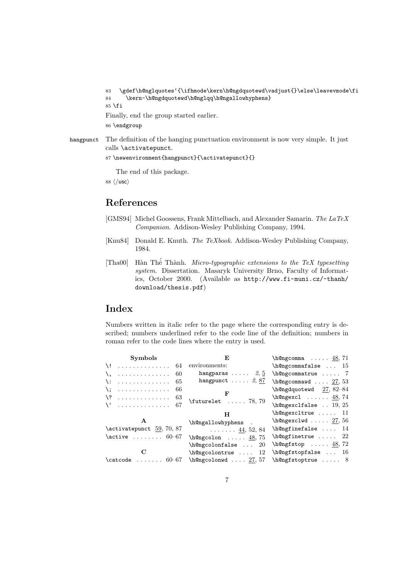```
83 \gdef\h@nglquotes'{\ifhmode\kern\h@ngdquotewd\vadjust{}\else\leavevmode\fi
84 \kern-\h@ngdquotewd\h@nglqq\h@ngallowhyphens}
85 \fi
Finally, end the group started earlier.
```
86 \endgroup

hangpunct The definition of the hanging punctuation environment is now very simple. It just calls \activatepunct.

```
87 \newenvironment{hangpunct}{\activatepunct}{}
```
The end of this package.

88  $\langle$ /usc $\rangle$ 

## References

- [GMS94] Michel Goossens, Frank Mittelbach, and Alexander Samarin. The LaTeX Companion. Addison-Wesley Publishing Company, 1994.
- [Knu84] Donald E. Knuth. The TeXbook. Addison-Wesley Publishing Company, 1984.
- [Tha00] Hàn Thế Thành. Micro-typographic extensions to the TeX typesetting system. Dissertation. Masaryk University Brno, Faculty of Informatics, October 2000. (Available as http://www.fi-muni.cz/~thanh/ download/thesis.pdf)

## Index

Numbers written in italic refer to the page where the corresponding entry is described; numbers underlined refer to the code line of the definition; numbers in roman refer to the code lines where the entry is used.

| Symbols                                                               | F.                                     | $h@ngcomma \ldots 48, 71$            |
|-----------------------------------------------------------------------|----------------------------------------|--------------------------------------|
| $\dots \dots \dots \dots$ 64 environments:<br>$\lambda$ !             |                                        | $h@ngcommafalse$ 15                  |
| . 60<br>ヽ.                                                            | hangparas $\ldots$ 2, 5                | \h@ngcommatrue  7                    |
| -65<br>.<br>\:                                                        | hangpunct $\ldots$ 2, 87               | h@ngcommawd  27, 53                  |
| -66<br>. The second second second second second $\mathcal{L}_1$<br>\: |                                        | $h@ngdquotewd 27, 82-84$             |
| . 63<br>$\backslash$ ?                                                | $\text{futurelet} \dots 78, 79$        | $h@ngexcl \ldots 48,74$              |
| $\setminus$ 67                                                        |                                        | $h$ @ngexclfalse  19, 25             |
|                                                                       |                                        |                                      |
|                                                                       | н                                      | \h@ngexcltrue  11                    |
| A                                                                     | \h@ngallowhyphens.                     | $h@ngexclwd \ldots 27, 56$           |
| \activatepunct 59, 70, 87                                             | $\ldots \ldots 44, 52, 84$             | $\hbox{\tt \lambda}$ se  14          |
| $\text{active}$ 60-67                                                 | $\hbox{\tt h@ngcolon} \ldots$ 48,75    | $\hbox{\tt \h 0}$                    |
|                                                                       | h@ngcolonfalse<br>-20                  | $\hbox{\texttt{h0n}}$ 48, 72         |
| С                                                                     | $\hbox{\tt \&0ngcolontrue } \ldots 12$ | $\hbox{\texttt{h}$ Qngfstopfalse  16 |